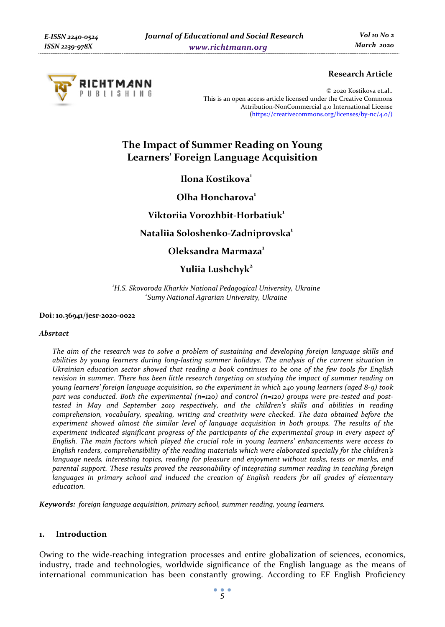

## **Research Article**

© 2020 Kostikova et.al.. This is an open access article licensed under the Creative Commons Attribution-NonCommercial 4.0 International License (https://creativecommons.org/licenses/by-nc/4.0/)

# **The Impact of Summer Reading on Young Learners' Foreign Language Acquisition**

**Ilona Kostikova**<sup>1</sup>

**Olha Honcharova1**

## **Viktoriia Vorozhbit-Horbatiuk1**

## **Nataliia Soloshenko-Zadniprovska1**

## **Oleksandra Marmaza1**

## Yuliia Lushchyk<sup>2</sup>

<sup>1</sup> H.S. Skovoroda Kharkiv National Pedagogical University, Ukraine *Sumy National Agrarian University, Ukraine* 

#### **Doi: 10.36941/jesr-2020-0022**

#### *Absrtact*

*The aim of the research was to solve a problem of sustaining and developing foreign language skills and abilities by young learners during long-lasting summer holidays. The analysis of the current situation in Ukrainian education sector showed that reading a book continues to be one of the few tools for English revision in summer. There has been little research targeting on studying the impact of summer reading on young learners' foreign language acquisition, so the experiment in which 240 young learners (aged 8-9) took part was conducted. Both the experimental (n=120) and control (n=120) groups were pre-tested and posttested in May and September 2019 respectively, and the children's skills and abilities in reading comprehension, vocabulary, speaking, writing and creativity were checked. The data obtained before the experiment showed almost the similar level of language acquisition in both groups. The results of the experiment indicated significant progress of the participants of the experimental group in every aspect of English. The main factors which played the crucial role in young learners' enhancements were access to English readers, comprehensibility of the reading materials which were elaborated specially for the children's language needs, interesting topics, reading for pleasure and enjoyment without tasks, tests or marks, and parental support. These results proved the reasonability of integrating summer reading in teaching foreign*  languages in primary school and induced the creation of English readers for all grades of elementary *education.* 

*Keywords: foreign language acquisition, primary school, summer reading, young learners.* 

## **1. Introduction**

Owing to the wide-reaching integration processes and entire globalization of sciences, economics, industry, trade and technologies, worldwide significance of the English language as the means of international communication has been constantly growing. According to EF English Proficiency

*5*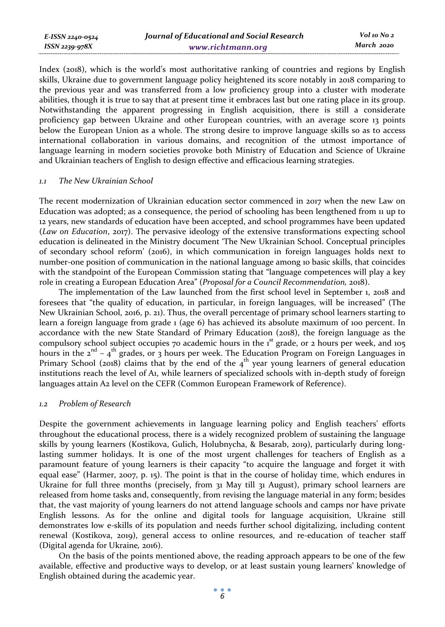Index (2018), which is the world's most authoritative ranking of countries and regions by English skills, Ukraine due to government language policy heightened its score notably in 2018 comparing to the previous year and was transferred from a low proficiency group into a cluster with moderate abilities, though it is true to say that at present time it embraces last but one rating place in its group. Notwithstanding the apparent progressing in English acquisition, there is still a considerate proficiency gap between Ukraine and other European countries, with an average score 13 points below the European Union as a whole. The strong desire to improve language skills so as to access international collaboration in various domains, and recognition of the utmost importance of language learning in modern societies provoke both Ministry of Education and Science of Ukraine and Ukrainian teachers of English to design effective and efficacious learning strategies.

#### *1.1 The New Ukrainian School*

The recent modernization of Ukrainian education sector commenced in 2017 when the new Law on Education was adopted; as a consequence, the period of schooling has been lengthened from 11 up to 12 years, new standards of education have been accepted, and school programmes have been updated (*Law on Education*, 2017). The pervasive ideology of the extensive transformations expecting school education is delineated in the Ministry document 'The New Ukrainian School. Conceptual principles of secondary school reform' (2016), in which communication in foreign languages holds next to number-one position of communication in the national language among 10 basic skills, that coincides with the standpoint of the European Commission stating that "language competences will play a key role in creating a European Education Area" (*Proposal for a Council Recommendation,* 2018).

The implementation of the Law launched from the first school level in September 1, 2018 and foresees that "the quality of education, in particular, in foreign languages, will be increased" (The New Ukrainian School, 2016, p. 21). Thus, the overall percentage of primary school learners starting to learn a foreign language from grade 1 (age 6) has achieved its absolute maximum of 100 percent. In accordance with the new State Standard of Primary Education (2018), the foreign language as the compulsory school subject occupies 70 academic hours in the  $1<sup>st</sup>$  grade, or 2 hours per week, and 105 hours in the  $2^{nd} - 4^{th}$  grades, or 3 hours per week. The Education Program on Foreign Languages in Primary School (2018) claims that by the end of the  $4<sup>th</sup>$  year young learners of general education institutions reach the level of A1, while learners of specialized schools with in-depth study of foreign languages attain A2 level on the CEFR (Common European Framework of Reference).

#### *1.2 Problem of Research*

Despite the government achievements in language learning policy and English teachers' efforts throughout the educational process, there is a widely recognized problem of sustaining the language skills by young learners (Kostikova, Gulich, Holubnycha, & Besarab, 2019), particularly during longlasting summer holidays. It is one of the most urgent challenges for teachers of English as a paramount feature of young learners is their capacity "to acquire the language and forget it with equal ease" (Harmer, 2007, p. 15). The point is that in the course of holiday time, which endures in Ukraine for full three months (precisely, from 31 May till 31 August), primary school learners are released from home tasks and, consequently, from revising the language material in any form; besides that, the vast majority of young learners do not attend language schools and camps nor have private English lessons. As for the online and digital tools for language acquisition, Ukraine still demonstrates low e-skills of its population and needs further school digitalizing, including content renewal (Kostikova, 2019), general access to online resources, and re-education of teacher staff (Digital agenda for Ukraine*,* 2016).

On the basis of the points mentioned above, the reading approach appears to be one of the few available, effective and productive ways to develop, or at least sustain young learners' knowledge of English obtained during the academic year.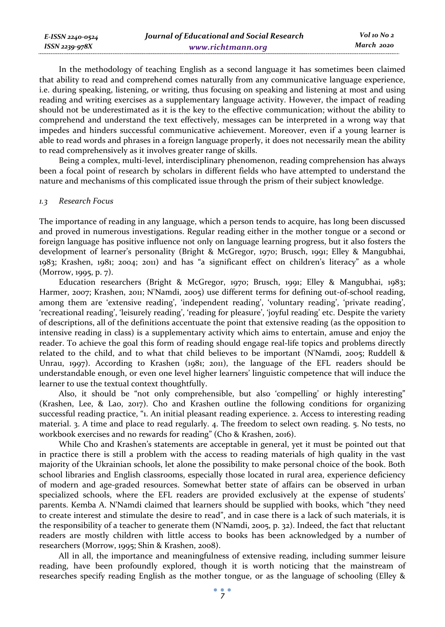| E-ISSN 2240-0524 | Journal of Educational and Social Research | Vol 10 No 2 |
|------------------|--------------------------------------------|-------------|
| ISSN 2239-978X   | www.richtmann.org                          | March 2020  |

In the methodology of teaching English as a second language it has sometimes been claimed that ability to read and comprehend comes naturally from any communicative language experience, i.e. during speaking, listening, or writing, thus focusing on speaking and listening at most and using reading and writing exercises as a supplementary language activity. However, the impact of reading should not be underestimated as it is the key to the effective communication; without the ability to comprehend and understand the text effectively, messages can be interpreted in a wrong way that impedes and hinders successful communicative achievement. Moreover, even if a young learner is able to read words and phrases in a foreign language properly, it does not necessarily mean the ability to read comprehensively as it involves greater range of skills.

Being a complex, multi-level, interdisciplinary phenomenon, reading comprehension has always been a focal point of research by scholars in different fields who have attempted to understand the nature and mechanisms of this complicated issue through the prism of their subject knowledge.

#### *1.3 Research Focus*

The importance of reading in any language, which a person tends to acquire, has long been discussed and proved in numerous investigations. Regular reading either in the mother tongue or a second or foreign language has positive influence not only on language learning progress, but it also fosters the development of learner's personality (Bright & McGregor, 1970; Brusch, 1991; Elley & Mangubhai, 1983; Krashen, 1981; 2004; 2011) and has "a significant effect on children's literacy" as a whole (Morrow, 1995, p. 7).

Education researchers (Bright & McGregor, 1970; Brusch, 1991; Elley & Mangubhai, 1983; Harmer, 2007; Krashen, 2011; N'Namdi, 2005) use different terms for defining out-of-school reading, among them are 'extensive reading', 'independent reading', 'voluntary reading', 'private reading', 'recreational reading', 'leisurely reading', 'reading for pleasure', 'joyful reading' etc. Despite the variety of descriptions, all of the definitions accentuate the point that extensive reading (as the opposition to intensive reading in class) is a supplementary activity which aims to entertain, amuse and enjoy the reader. To achieve the goal this form of reading should engage real-life topics and problems directly related to the child, and to what that child believes to be important (N'Namdi, 2005; Ruddell & Unrau, 1997). According to Krashen (1981; 2011), the language of the EFL readers should be understandable enough, or even one level higher learners' linguistic competence that will induce the learner to use the textual context thoughtfully.

Also, it should be "not only comprehensible, but also 'compelling' or highly interesting" (Krashen, Lee, & Lao, 2017). Cho and Krashen outline the following conditions for organizing successful reading practice, "1. An initial pleasant reading experience. 2. Access to interesting reading material. 3. A time and place to read regularly. 4. The freedom to select own reading. 5. No tests, no workbook exercises and no rewards for reading" (Cho & Krashen, 2016).

While Cho and Krashen's statements are acceptable in general, yet it must be pointed out that in practice there is still a problem with the access to reading materials of high quality in the vast majority of the Ukrainian schools, let alone the possibility to make personal choice of the book. Both school libraries and English classrooms, especially those located in rural area, experience deficiency of modern and age-graded resources. Somewhat better state of affairs can be observed in urban specialized schools, where the EFL readers are provided exclusively at the expense of students' parents. Kemba A. N'Namdi claimed that learners should be supplied with books, which "they need to create interest and stimulate the desire to read", and in case there is a lack of such materials, it is the responsibility of a teacher to generate them (N'Namdi, 2005, p. 32). Indeed, the fact that reluctant readers are mostly children with little access to books has been acknowledged by a number of researchers (Morrow, 1995; Shin & Krashen, 2008).

All in all, the importance and meaningfulness of extensive reading, including summer leisure reading, have been profoundly explored, though it is worth noticing that the mainstream of researches specify reading English as the mother tongue, or as the language of schooling (Elley &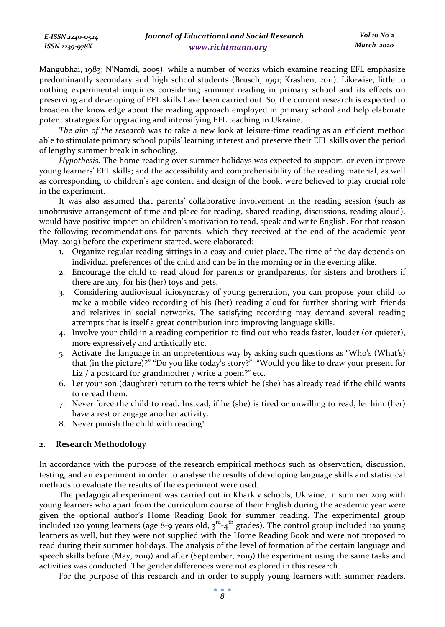Mangubhai, 1983; N'Namdi, 2005), while a number of works which examine reading EFL emphasize predominantly secondary and high school students (Brusch, 1991; Krashen, 2011). Likewise, little to nothing experimental inquiries considering summer reading in primary school and its effects on preserving and developing of EFL skills have been carried out. So, the current research is expected to broaden the knowledge about the reading approach employed in primary school and help elaborate potent strategies for upgrading and intensifying EFL teaching in Ukraine.

*The aim of the research* was to take a new look at leisure-time reading as an efficient method able to stimulate primary school pupils' learning interest and preserve their EFL skills over the period of lengthy summer break in schooling.

*Hypothesis.* The home reading over summer holidays was expected to support, or even improve young learners' EFL skills; and the accessibility and comprehensibility of the reading material, as well as corresponding to children's age content and design of the book, were believed to play crucial role in the experiment.

It was also assumed that parents' collaborative involvement in the reading session (such as unobtrusive arrangement of time and place for reading, shared reading, discussions, reading aloud), would have positive impact on children's motivation to read, speak and write English. For that reason the following recommendations for parents, which they received at the end of the academic year (May, 2019) before the experiment started, were elaborated:

- 1. Organize regular reading sittings in a cosy and quiet place. The time of the day depends on individual preferences of the child and can be in the morning or in the evening alike.
- 2. Encourage the child to read aloud for parents or grandparents, for sisters and brothers if there are any, for his (her) toys and pets.
- 3. Considering audiovisual idiosyncrasy of young generation, you can propose your child to make a mobile video recording of his (her) reading aloud for further sharing with friends and relatives in social networks. The satisfying recording may demand several reading attempts that is itself a great contribution into improving language skills.
- 4. Involve your child in a reading competition to find out who reads faster, louder (or quieter), more expressively and artistically etc.
- 5. Activate the language in an unpretentious way by asking such questions as "Who's (What's) that (in the picture)?" "Do you like today's story?" "Would you like to draw your present for Liz / a postcard for grandmother / write a poem?" etc.
- 6. Let your son (daughter) return to the texts which he (she) has already read if the child wants to reread them.
- 7. Never force the child to read. Instead, if he (she) is tired or unwilling to read, let him (her) have a rest or engage another activity.
- 8. Never punish the child with reading!

### **2. Research Methodology**

In accordance with the purpose of the research empirical methods such as observation, discussion, testing, and an experiment in order to analyse the results of developing language skills and statistical methods to evaluate the results of the experiment were used.

The pedagogical experiment was carried out in Kharkiv schools, Ukraine, in summer 2019 with young learners who apart from the curriculum course of their English during the academic year were given the optional author's Home Reading Book for summer reading. The experimental group included 120 young learners (age 8-9 years old,  $3^{rd}$ -4<sup>th</sup> grades). The control group included 120 young learners as well, but they were not supplied with the Home Reading Book and were not proposed to read during their summer holidays. The analysis of the level of formation of the certain language and speech skills before (May, 2019) and after (September, 2019) the experiment using the same tasks and activities was conducted. The gender differences were not explored in this research.

For the purpose of this research and in order to supply young learners with summer readers,

*8*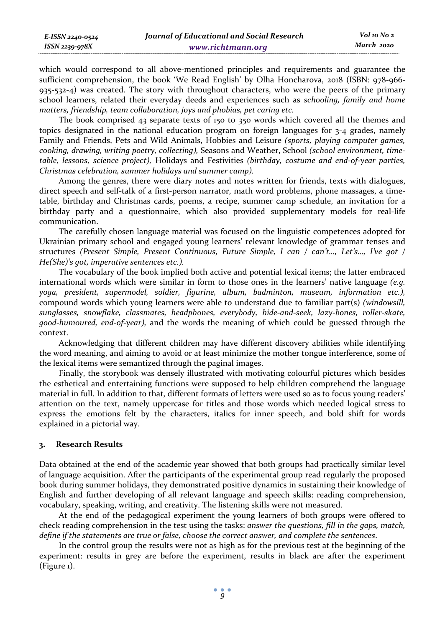which would correspond to all above-mentioned principles and requirements and guarantee the sufficient comprehension, the book 'We Read English' by Olha Honcharova, 2018 (ISBN: 978-966- 935-532-4) was created. The story with throughout characters, who were the peers of the primary school learners, related their everyday deeds and experiences such as *schooling, family and home matters, friendship, team collaboration, joys and phobias, pet caring etc.*

The book comprised 43 separate texts of 150 to 350 words which covered all the themes and topics designated in the national education program on foreign languages for  $3-4$  grades, namely Family and Friends, Pets and Wild Animals, Hobbies and Leisure *(sports, playing computer games, cooking, drawing, writing poetry, collecting),* Seasons and Weather, School *(school environment, timetable, lessons, science project),* Holidays and Festivities *(birthday, costume and end-of-year parties, Christmas celebration, summer holidays and summer camp).*

Among the genres, there were diary notes and notes written for friends, texts with dialogues, direct speech and self-talk of a first-person narrator, math word problems, phone massages, a timetable, birthday and Christmas cards, poems, a recipe, summer camp schedule, an invitation for a birthday party and a questionnaire, which also provided supplementary models for real-life communication.

The carefully chosen language material was focused on the linguistic competences adopted for Ukrainian primary school and engaged young learners' relevant knowledge of grammar tenses and structures *(Present Simple, Present Continuous, Future Simple, I can / can't…, Let's…, I've got / He(She)'s got, imperative sentences etc.).*

The vocabulary of the book implied both active and potential lexical items; the latter embraced international words which were similar in form to those ones in the learners' native language *(e.g. yoga, president, supermodel, soldier, figurine, album, badminton, museum, information etc.),* compound words which young learners were able to understand due to familiar part(s) *(windowsill, sunglasses, snowflake, classmates, headphones, everybody, hide-and-seek, lazy-bones, roller-skate, good-humoured, end-of-year),* and the words the meaning of which could be guessed through the context.

Acknowledging that different children may have different discovery abilities while identifying the word meaning, and aiming to avoid or at least minimize the mother tongue interference, some of the lexical items were semantized through the paginal images.

Finally, the storybook was densely illustrated with motivating colourful pictures which besides the esthetical and entertaining functions were supposed to help children comprehend the language material in full. In addition to that, different formats of letters were used so as to focus young readers' attention on the text, namely uppercase for titles and those words which needed logical stress to express the emotions felt by the characters, italics for inner speech, and bold shift for words explained in a pictorial way.

### **3. Research Results**

Data obtained at the end of the academic year showed that both groups had practically similar level of language acquisition. After the participants of the experimental group read regularly the proposed book during summer holidays, they demonstrated positive dynamics in sustaining their knowledge of English and further developing of all relevant language and speech skills: reading comprehension, vocabulary, speaking, writing, and creativity. The listening skills were not measured.

At the end of the pedagogical experiment the young learners of both groups were offered to check reading comprehension in the test using the tasks: *answer the questions, fill in the gaps, match, define if the statements are true or false, choose the correct answer, and complete the sentences*.

In the control group the results were not as high as for the previous test at the beginning of the experiment: results in grey are before the experiment, results in black are after the experiment (Figure 1).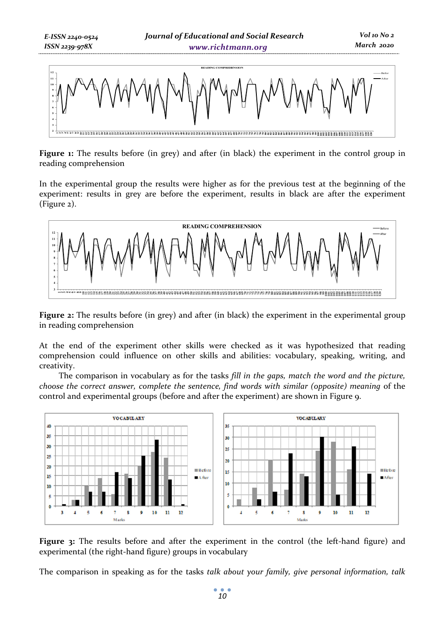

**Figure 1:** The results before (in grey) and after (in black) the experiment in the control group in reading comprehension

In the experimental group the results were higher as for the previous test at the beginning of the experiment: results in grey are before the experiment, results in black are after the experiment (Figure 2).



**Figure 2:** The results before (in grey) and after (in black) the experiment in the experimental group in reading comprehension

At the end of the experiment other skills were checked as it was hypothesized that reading comprehension could influence on other skills and abilities: vocabulary, speaking, writing, and creativity.

The comparison in vocabulary as for the tasks *fill in the gaps, match the word and the picture, choose the correct answer, complete the sentence, find words with similar (opposite) meaning* of the control and experimental groups (before and after the experiment) are shown in Figure 9.



**Figure 3:** The results before and after the experiment in the control (the left-hand figure) and experimental (the right-hand figure) groups in vocabulary

The comparison in speaking as for the tasks *talk about your family, give personal information, talk*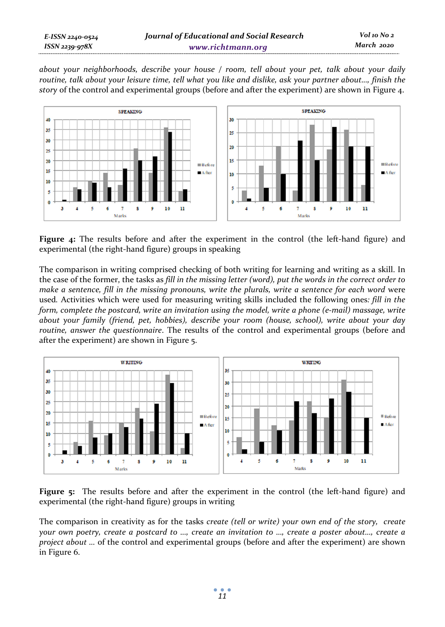*about your neighborhoods, describe your house / room, tell about your pet, talk about your daily routine, talk about your leisure time, tell what you like and dislike, ask your partner about…, finish the story* of the control and experimental groups (before and after the experiment) are shown in Figure 4.



**Figure 4:** The results before and after the experiment in the control (the left-hand figure) and experimental (the right-hand figure) groups in speaking

The comparison in writing comprised checking of both writing for learning and writing as a skill. In the case of the former, the tasks as *fill in the missing letter (word), put the words in the correct order to make a sentence, fill in the missing pronouns, write the plurals, write a sentence for each word were* used*.* Activities which were used for measuring writing skills included the following ones*: fill in the form, complete the postcard, write an invitation using the model, write a phone (e-mail) massage, write about your family (friend, pet, hobbies), describe your room (house, school), write about your day routine, answer the questionnaire*. The results of the control and experimental groups (before and after the experiment) are shown in Figure 5.



**Figure 5:** The results before and after the experiment in the control (the left-hand figure) and experimental (the right-hand figure) groups in writing

The comparison in creativity as for the tasks *create (tell or write) your own end of the story, create your own poetry, create a postcard to …, create an invitation to …, create a poster about…, create a project about …* of the control and experimental groups (before and after the experiment) are shown in Figure 6.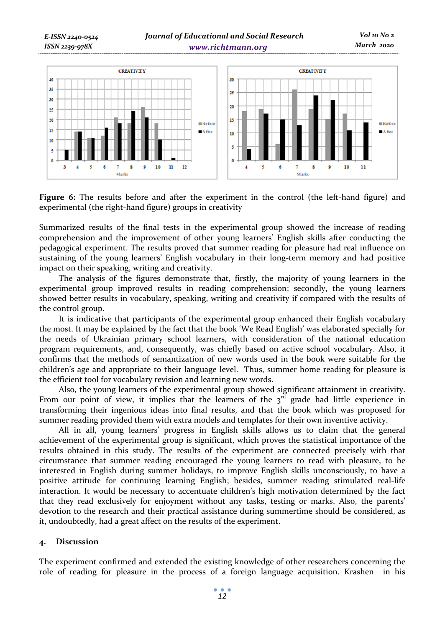

**Figure 6:** The results before and after the experiment in the control (the left-hand figure) and experimental (the right-hand figure) groups in creativity

Summarized results of the final tests in the experimental group showed the increase of reading comprehension and the improvement of other young learners' English skills after conducting the pedagogical experiment. The results proved that summer reading for pleasure had real influence on sustaining of the young learners' English vocabulary in their long-term memory and had positive impact on their speaking, writing and creativity.

The analysis of the figures demonstrate that, firstly, the majority of young learners in the experimental group improved results in reading comprehension; secondly, the young learners showed better results in vocabulary, speaking, writing and creativity if compared with the results of the control group.

It is indicative that participants of the experimental group enhanced their English vocabulary the most. It may be explained by the fact that the book 'We Read English' was elaborated specially for the needs of Ukrainian primary school learners, with consideration of the national education program requirements, and, consequently, was chiefly based on active school vocabulary. Also, it confirms that the methods of semantization of new words used in the book were suitable for the children's age and appropriate to their language level. Thus, summer home reading for pleasure is the efficient tool for vocabulary revision and learning new words.

Also, the young learners of the experimental group showed significant attainment in creativity. From our point of view, it implies that the learners of the  $3<sup>rd</sup>$  grade had little experience in transforming their ingenious ideas into final results, and that the book which was proposed for summer reading provided them with extra models and templates for their own inventive activity.

All in all, young learners' progress in English skills allows us to claim that the general achievement of the experimental group is significant, which proves the statistical importance of the results obtained in this study. The results of the experiment are connected precisely with that circumstance that summer reading encouraged the young learners to read with pleasure, to be interested in English during summer holidays, to improve English skills unconsciously, to have a positive attitude for continuing learning English; besides, summer reading stimulated real-life interaction. It would be necessary to accentuate children's high motivation determined by the fact that they read exclusively for enjoyment without any tasks, testing or marks. Also, the parents' devotion to the research and their practical assistance during summertime should be considered, as it, undoubtedly, had a great affect on the results of the experiment.

#### **4. Discussion**

The experiment confirmed and extended the existing knowledge of other researchers concerning the role of reading for pleasure in the process of a foreign language acquisition. Krashen in his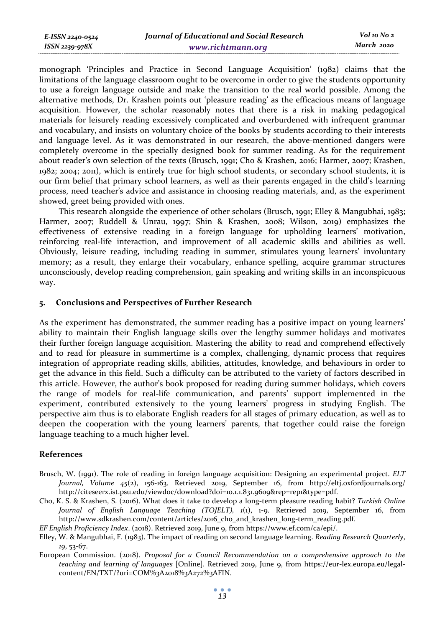| E-ISSN 2240-0524    | Journal of Educational and Social Research | Vol 10 No 2 |
|---------------------|--------------------------------------------|-------------|
| $ISSN$ 2239-97 $8X$ | www.richtmann.org                          | March 2020  |

monograph 'Principles and Practice in Second Language Acquisition' (1982) claims that the limitations of the language classroom ought to be overcome in order to give the students opportunity to use a foreign language outside and make the transition to the real world possible. Among the alternative methods, Dr. Krashen points out 'pleasure reading' as the efficacious means of language acquisition. However, the scholar reasonably notes that there is a risk in making pedagogical materials for leisurely reading excessively complicated and overburdened with infrequent grammar and vocabulary, and insists on voluntary choice of the books by students according to their interests and language level. As it was demonstrated in our research, the above-mentioned dangers were completely overcome in the specially designed book for summer reading. As for the requirement about reader's own selection of the texts (Brusch, 1991; Cho & Krashen, 2016; Harmer, 2007; Krashen, 1982; 2004; 2011), which is entirely true for high school students, or secondary school students, it is our firm belief that primary school learners, as well as their parents engaged in the child's learning process, need teacher's advice and assistance in choosing reading materials, and, as the experiment showed, greet being provided with ones.

This research alongside the experience of other scholars (Brusch, 1991; Elley & Mangubhai, 1983; Harmer, 2007; Ruddell & Unrau, 1997; Shin & Krashen, 2008; Wilson, 2019) emphasizes the effectiveness of extensive reading in a foreign language for upholding learners' motivation, reinforcing real-life interaction, and improvement of all academic skills and abilities as well. Obviously, leisure reading, including reading in summer, stimulates young learners' involuntary memory; as a result, they enlarge their vocabulary, enhance spelling, acquire grammar structures unconsciously, develop reading comprehension, gain speaking and writing skills in an inconspicuous way.

#### **5. Conclusions and Perspectives of Further Research**

As the experiment has demonstrated, the summer reading has a positive impact on young learners' ability to maintain their English language skills over the lengthy summer holidays and motivates their further foreign language acquisition. Mastering the ability to read and comprehend effectively and to read for pleasure in summertime is a complex, challenging, dynamic process that requires integration of appropriate reading skills, abilities, attitudes, knowledge, and behaviours in order to get the advance in this field. Such a difficulty can be attributed to the variety of factors described in this article. However, the author's book proposed for reading during summer holidays, which covers the range of models for real-life communication, and parents' support implemented in the experiment, contributed extensively to the young learners' progress in studying English. The perspective aim thus is to elaborate English readers for all stages of primary education, as well as to deepen the cooperation with the young learners' parents, that together could raise the foreign language teaching to a much higher level.

#### **References**

- Brusch, W. (1991). The role of reading in foreign language acquisition: Designing an experimental project. *ELT Journal, Volume 45*(2), 156-163. Retrieved 2019, September 16, from http://eltj.oxfordjournals.org/ http://citeseerx.ist.psu.edu/viewdoc/download?doi=10.1.1.831.9609&rep=rep1&type=pdf.
- Cho, K. S. & Krashen, S. (2016). What does it take to develop a long-term pleasure reading habit? *Turkish Online Journal of English Language Teaching (TOJELT), 1*(1), 1-9. Retrieved 2019, September 16, from http://www.sdkrashen.com/content/articles/2016\_cho\_and\_krashen\_long-term\_reading.pdf.
- *EF English Proficiency Index*. (2018). Retrieved 2019, June 9, from https://www.ef.com/ca/epi/.
- Elley, W. & Mangubhai, F. (1983). The impact of reading on second language learning. *Reading Research Quarterly*, *19*, 53-67.
- European Commission. (2018). *Proposal for a Council Recommendation on a comprehensive approach to the teaching and learning of languages* [Online]. Retrieved 2019, June 9, from https://eur-lex.europa.eu/legalcontent/EN/TXT/?uri=COM%3A2018%3A272%3AFIN.